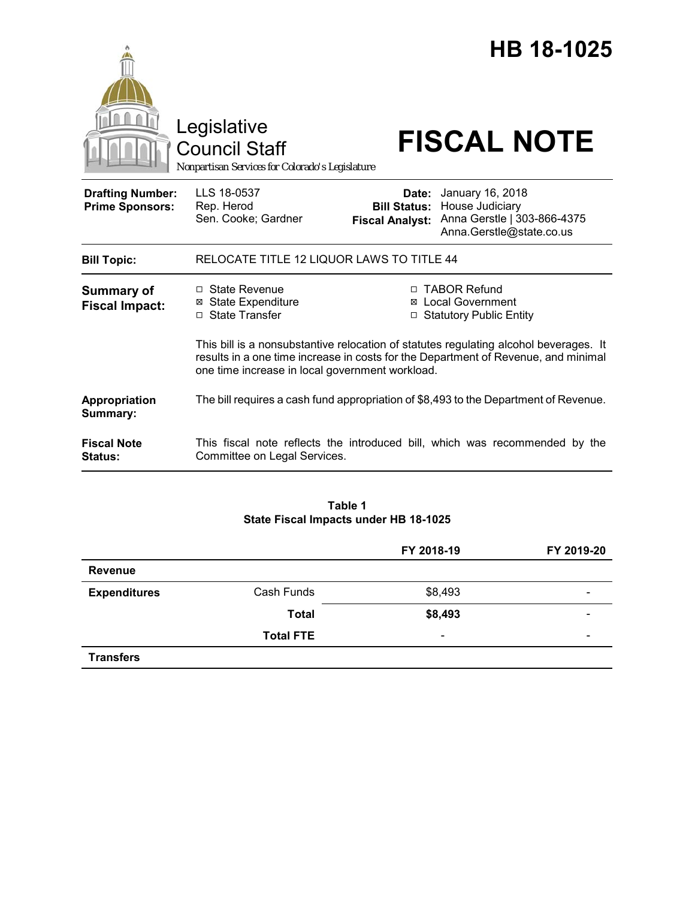|                                                   | Legislative                                                                                                                                                                                                                    |                                                        | HB 18-1025                                                                                     |  |
|---------------------------------------------------|--------------------------------------------------------------------------------------------------------------------------------------------------------------------------------------------------------------------------------|--------------------------------------------------------|------------------------------------------------------------------------------------------------|--|
|                                                   | <b>Council Staff</b><br>Nonpartisan Services for Colorado's Legislature                                                                                                                                                        |                                                        | <b>FISCAL NOTE</b>                                                                             |  |
| <b>Drafting Number:</b><br><b>Prime Sponsors:</b> | LLS 18-0537<br>Rep. Herod<br>Sen. Cooke; Gardner                                                                                                                                                                               | Date:<br><b>Bill Status:</b><br><b>Fiscal Analyst:</b> | January 16, 2018<br>House Judiciary<br>Anna Gerstle   303-866-4375<br>Anna.Gerstle@state.co.us |  |
| <b>Bill Topic:</b>                                | RELOCATE TITLE 12 LIQUOR LAWS TO TITLE 44                                                                                                                                                                                      |                                                        |                                                                                                |  |
| <b>Summary of</b><br><b>Fiscal Impact:</b>        | $\Box$ State Revenue<br><b>⊠</b> State Expenditure<br>□ State Transfer                                                                                                                                                         | ⊠                                                      | □ TABOR Refund<br><b>Local Government</b><br>□ Statutory Public Entity                         |  |
|                                                   | This bill is a nonsubstantive relocation of statutes regulating alcohol beverages. It<br>results in a one time increase in costs for the Department of Revenue, and minimal<br>one time increase in local government workload. |                                                        |                                                                                                |  |
| Appropriation<br>Summary:                         |                                                                                                                                                                                                                                |                                                        | The bill requires a cash fund appropriation of \$8,493 to the Department of Revenue.           |  |
| <b>Fiscal Note</b><br>Status:                     | Committee on Legal Services.                                                                                                                                                                                                   |                                                        | This fiscal note reflects the introduced bill, which was recommended by the                    |  |

### **Table 1 State Fiscal Impacts under HB 18-1025**

|                     |                  | FY 2018-19               | FY 2019-20               |
|---------------------|------------------|--------------------------|--------------------------|
| <b>Revenue</b>      |                  |                          |                          |
| <b>Expenditures</b> | Cash Funds       | \$8,493                  | $\overline{\phantom{0}}$ |
|                     | <b>Total</b>     | \$8,493                  |                          |
|                     | <b>Total FTE</b> | $\overline{\phantom{a}}$ | $\overline{\phantom{0}}$ |
| <b>Transfers</b>    |                  |                          |                          |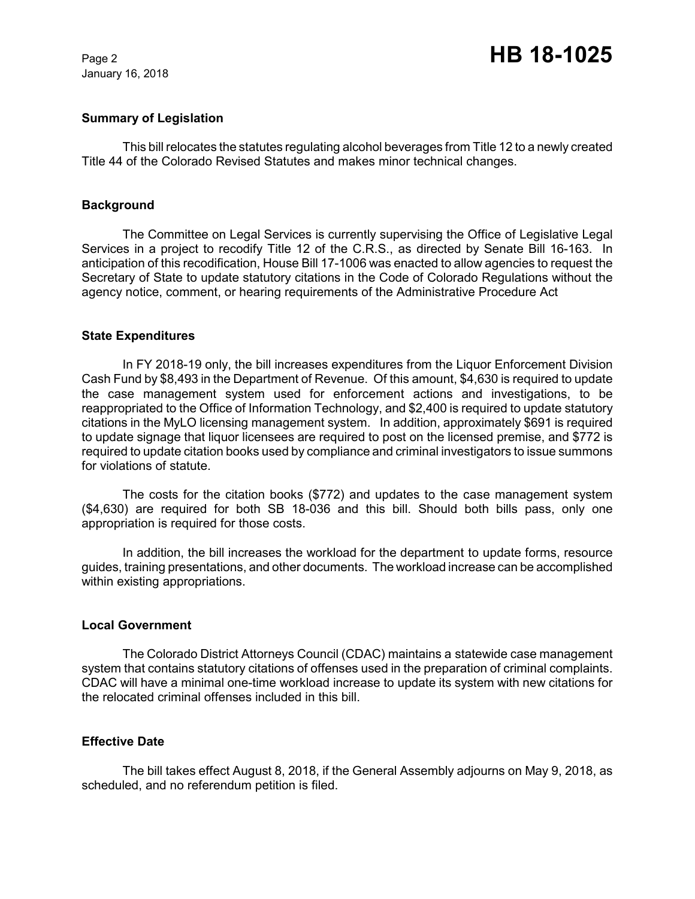January 16, 2018

# Page 2 **HB 18-1025**

#### **Summary of Legislation**

This bill relocates the statutes regulating alcohol beverages from Title 12 to a newly created Title 44 of the Colorado Revised Statutes and makes minor technical changes.

#### **Background**

The Committee on Legal Services is currently supervising the Office of Legislative Legal Services in a project to recodify Title 12 of the C.R.S., as directed by Senate Bill 16-163. In anticipation of this recodification, House Bill 17-1006 was enacted to allow agencies to request the Secretary of State to update statutory citations in the Code of Colorado Regulations without the agency notice, comment, or hearing requirements of the Administrative Procedure Act

#### **State Expenditures**

In FY 2018-19 only, the bill increases expenditures from the Liquor Enforcement Division Cash Fund by \$8,493 in the Department of Revenue. Of this amount, \$4,630 is required to update the case management system used for enforcement actions and investigations, to be reappropriated to the Office of Information Technology, and \$2,400 is required to update statutory citations in the MyLO licensing management system. In addition, approximately \$691 is required to update signage that liquor licensees are required to post on the licensed premise, and \$772 is required to update citation books used by compliance and criminal investigators to issue summons for violations of statute.

The costs for the citation books (\$772) and updates to the case management system (\$4,630) are required for both SB 18-036 and this bill. Should both bills pass, only one appropriation is required for those costs.

In addition, the bill increases the workload for the department to update forms, resource guides, training presentations, and other documents. The workload increase can be accomplished within existing appropriations.

#### **Local Government**

The Colorado District Attorneys Council (CDAC) maintains a statewide case management system that contains statutory citations of offenses used in the preparation of criminal complaints. CDAC will have a minimal one-time workload increase to update its system with new citations for the relocated criminal offenses included in this bill.

## **Effective Date**

The bill takes effect August 8, 2018, if the General Assembly adjourns on May 9, 2018, as scheduled, and no referendum petition is filed.